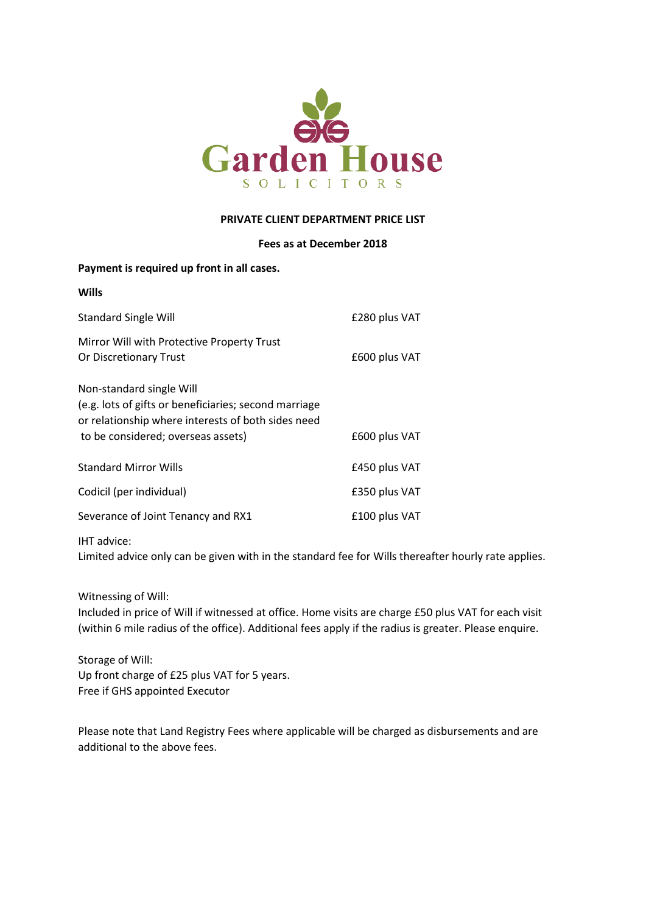

#### **PRIVATE CLIENT DEPARTMENT PRICE LIST**

### **Fees as at December 2018**

| <b>Wills</b>                                                                                                                                                                  |               |
|-------------------------------------------------------------------------------------------------------------------------------------------------------------------------------|---------------|
| <b>Standard Single Will</b>                                                                                                                                                   | £280 plus VAT |
| Mirror Will with Protective Property Trust<br>Or Discretionary Trust                                                                                                          | £600 plus VAT |
| Non-standard single Will<br>(e.g. lots of gifts or beneficiaries; second marriage<br>or relationship where interests of both sides need<br>to be considered; overseas assets) | £600 plus VAT |
| <b>Standard Mirror Wills</b>                                                                                                                                                  | £450 plus VAT |
| Codicil (per individual)                                                                                                                                                      | £350 plus VAT |
| Severance of Joint Tenancy and RX1                                                                                                                                            | £100 plus VAT |
|                                                                                                                                                                               |               |

IHT advice:

Limited advice only can be given with in the standard fee for Wills thereafter hourly rate applies.

Witnessing of Will:

Included in price of Will if witnessed at office. Home visits are charge £50 plus VAT for each visit (within 6 mile radius of the office). Additional fees apply if the radius is greater. Please enquire.

Storage of Will: Up front charge of £25 plus VAT for 5 years. Free if GHS appointed Executor

**Payment is required up front in all cases.**

Please note that Land Registry Fees where applicable will be charged as disbursements and are additional to the above fees.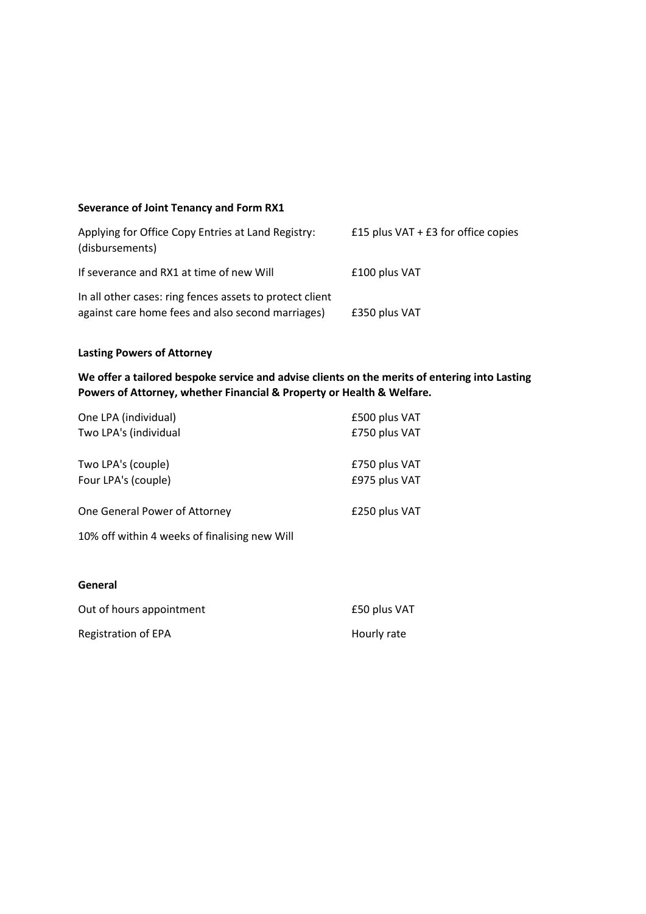## **Severance of Joint Tenancy and Form RX1**

| Applying for Office Copy Entries at Land Registry:<br>(disbursements)                                         | £15 plus $VAT + E3$ for office copies |
|---------------------------------------------------------------------------------------------------------------|---------------------------------------|
| If severance and RX1 at time of new Will                                                                      | £100 plus VAT                         |
| In all other cases: ring fences assets to protect client<br>against care home fees and also second marriages) | £350 plus VAT                         |

# **Lasting Powers of Attorney**

**We offer a tailored bespoke service and advise clients on the merits of entering into Lasting Powers of Attorney, whether Financial & Property or Health & Welfare.**

| One LPA (individual)                          | £500 plus VAT |
|-----------------------------------------------|---------------|
| Two LPA's (individual                         | £750 plus VAT |
| Two LPA's (couple)                            | £750 plus VAT |
| Four LPA's (couple)                           | £975 plus VAT |
| One General Power of Attorney                 | £250 plus VAT |
| 10% off within 4 weeks of finalising new Will |               |
| General                                       |               |
| Out of hours appointment                      | £50 plus VAT  |
| Registration of EPA                           | Hourly rate   |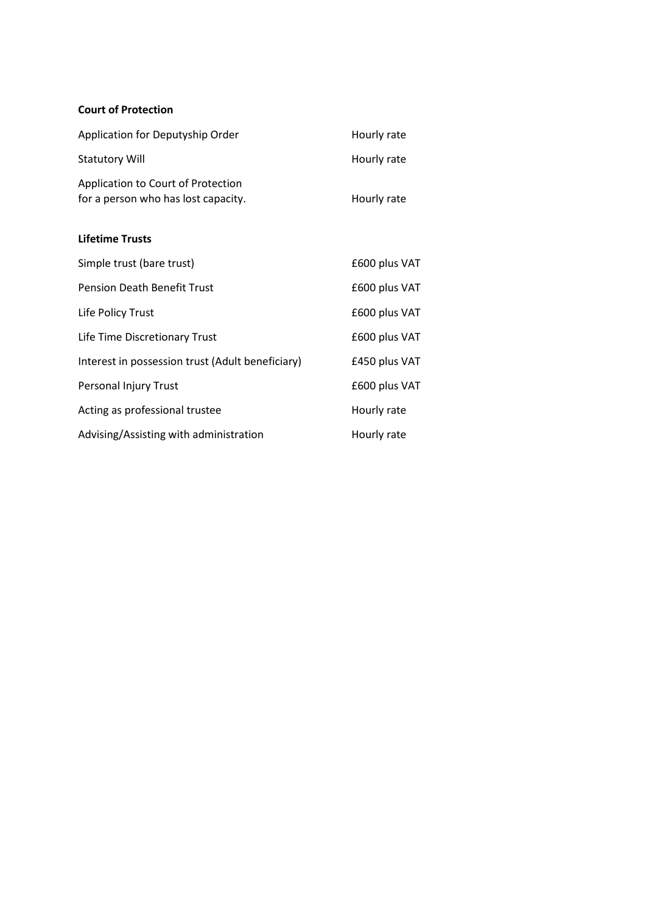## **Court of Protection**

| Application for Deputyship Order                                                 | Hourly rate   |
|----------------------------------------------------------------------------------|---------------|
| <b>Statutory Will</b>                                                            | Hourly rate   |
| <b>Application to Court of Protection</b><br>for a person who has lost capacity. | Hourly rate   |
| <b>Lifetime Trusts</b>                                                           |               |
| Simple trust (bare trust)                                                        | £600 plus VAT |
| <b>Pension Death Benefit Trust</b>                                               | £600 plus VAT |
| Life Policy Trust                                                                | £600 plus VAT |
| Life Time Discretionary Trust                                                    | £600 plus VAT |
| Interest in possession trust (Adult beneficiary)                                 | £450 plus VAT |
| Personal Injury Trust                                                            | £600 plus VAT |
| Acting as professional trustee                                                   | Hourly rate   |
| Advising/Assisting with administration                                           | Hourly rate   |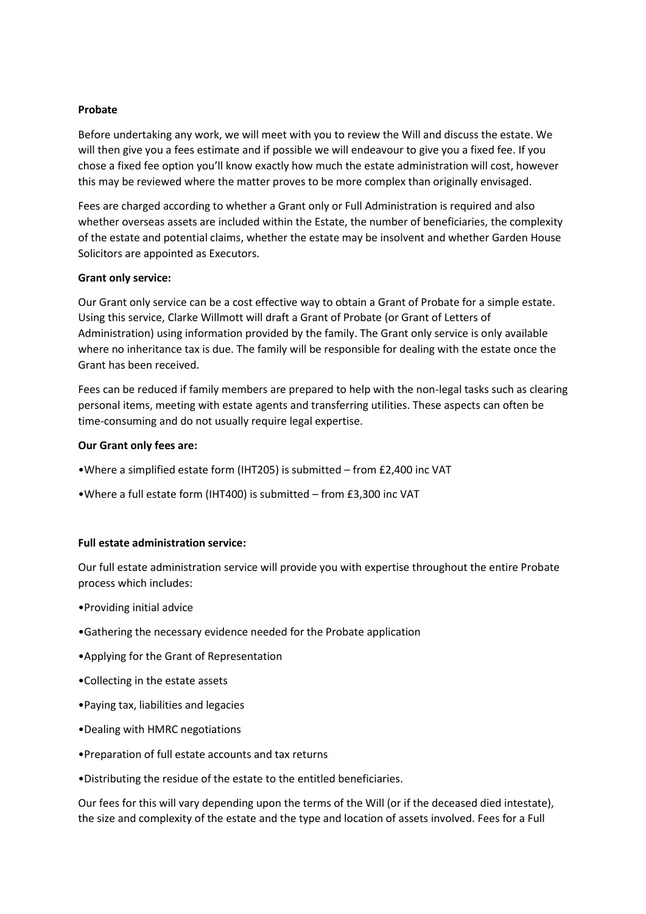#### **Probate**

Before undertaking any work, we will meet with you to review the Will and discuss the estate. We will then give you a fees estimate and if possible we will endeavour to give you a fixed fee. If you chose a fixed fee option you'll know exactly how much the estate administration will cost, however this may be reviewed where the matter proves to be more complex than originally envisaged.

Fees are charged according to whether a Grant only or Full Administration is required and also whether overseas assets are included within the Estate, the number of beneficiaries, the complexity of the estate and potential claims, whether the estate may be insolvent and whether Garden House Solicitors are appointed as Executors.

#### **Grant only service:**

Our Grant only service can be a cost effective way to obtain a Grant of Probate for a simple estate. Using this service, Clarke Willmott will draft a Grant of Probate (or Grant of Letters of Administration) using information provided by the family. The Grant only service is only available where no inheritance tax is due. The family will be responsible for dealing with the estate once the Grant has been received.

Fees can be reduced if family members are prepared to help with the non-legal tasks such as clearing personal items, meeting with estate agents and transferring utilities. These aspects can often be time-consuming and do not usually require legal expertise.

#### **Our Grant only fees are:**

- •Where a simplified estate form (IHT205) is submitted from £2,400 inc VAT
- •Where a full estate form (IHT400) is submitted from £3,300 inc VAT

## **Full estate administration service:**

Our full estate administration service will provide you with expertise throughout the entire Probate process which includes:

- •Providing initial advice
- •Gathering the necessary evidence needed for the Probate application
- •Applying for the Grant of Representation
- •Collecting in the estate assets
- •Paying tax, liabilities and legacies
- •Dealing with HMRC negotiations
- •Preparation of full estate accounts and tax returns
- •Distributing the residue of the estate to the entitled beneficiaries.

Our fees for this will vary depending upon the terms of the Will (or if the deceased died intestate), the size and complexity of the estate and the type and location of assets involved. Fees for a Full